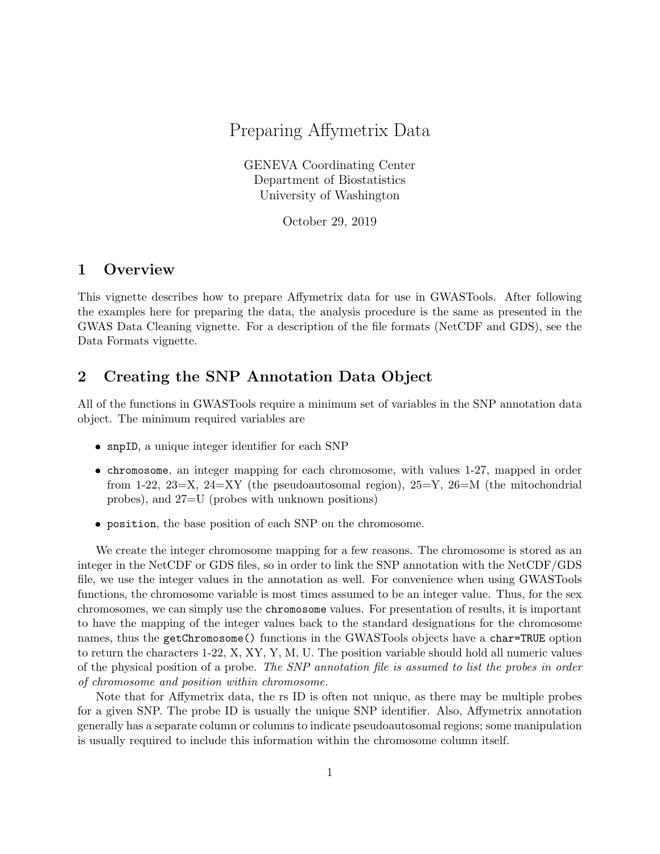# Preparing Affymetrix Data

GENEVA Coordinating Center Department of Biostatistics University of Washington

October 29, 2019

### 1 Overview

This vignette describes how to prepare Affymetrix data for use in GWASTools. After following the examples here for preparing the data, the analysis procedure is the same as presented in the GWAS Data Cleaning vignette. For a description of the file formats (NetCDF and GDS), see the Data Formats vignette.

## 2 Creating the SNP Annotation Data Object

All of the functions in GWASTools require a minimum set of variables in the SNP annotation data object. The minimum required variables are

- snpID, a unique integer identifier for each SNP
- chromosome, an integer mapping for each chromosome, with values 1-27, mapped in order from 1-22, 23=X, 24=XY (the pseudoautosomal region),  $25=Y$ ,  $26=M$  (the mitochondrial probes), and 27=U (probes with unknown positions)
- position, the base position of each SNP on the chromosome.

We create the integer chromosome mapping for a few reasons. The chromosome is stored as an integer in the NetCDF or GDS files, so in order to link the SNP annotation with the NetCDF/GDS file, we use the integer values in the annotation as well. For convenience when using GWASTools functions, the chromosome variable is most times assumed to be an integer value. Thus, for the sex chromosomes, we can simply use the chromosome values. For presentation of results, it is important to have the mapping of the integer values back to the standard designations for the chromosome names, thus the getChromosome() functions in the GWASTools objects have a char=TRUE option to return the characters 1-22, X, XY, Y, M, U. The position variable should hold all numeric values of the physical position of a probe. The SNP annotation file is assumed to list the probes in order of chromosome and position within chromosome.

Note that for Affymetrix data, the rs ID is often not unique, as there may be multiple probes for a given SNP. The probe ID is usually the unique SNP identifier. Also, Affymetrix annotation generally has a separate column or columns to indicate pseudoautosomal regions; some manipulation is usually required to include this information within the chromosome column itself.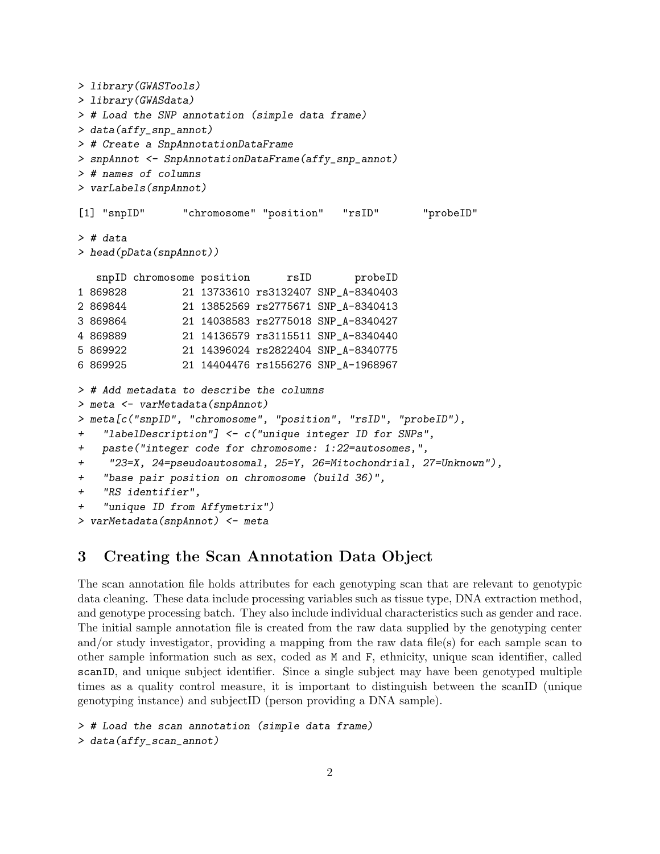```
> library(GWASTools)
> library(GWASdata)
> # Load the SNP annotation (simple data frame)
> data(affy_snp_annot)
> # Create a SnpAnnotationDataFrame
> snpAnnot <- SnpAnnotationDataFrame(affy_snp_annot)
> # names of columns
> varLabels(snpAnnot)
[1] "snpID" "chromosome" "position" "rsID" "probeID"
> # data
> head(pData(snpAnnot))
  snpID chromosome position rsID probeID
1 869828 21 13733610 rs3132407 SNP_A-8340403
2 869844 21 13852569 rs2775671 SNP_A-8340413
3 869864 21 14038583 rs2775018 SNP_A-8340427
4 869889 21 14136579 rs3115511 SNP_A-8340440
5 869922 21 14396024 rs2822404 SNP_A-8340775
6 869925 21 14404476 rs1556276 SNP_A-1968967
> # Add metadata to describe the columns
> meta <- varMetadata(snpAnnot)
> meta[c("snpID", "chromosome", "position", "rsID", "probeID"),
+ "labelDescription"] <- c("unique integer ID for SNPs",
+ paste("integer code for chromosome: 1:22=autosomes,",
+ "23=X, 24=pseudoautosomal, 25=Y, 26=Mitochondrial, 27=Unknown"),
+ "base pair position on chromosome (build 36)",
+ "RS identifier",
+ "unique ID from Affymetrix")
> varMetadata(snpAnnot) <- meta
```
## 3 Creating the Scan Annotation Data Object

The scan annotation file holds attributes for each genotyping scan that are relevant to genotypic data cleaning. These data include processing variables such as tissue type, DNA extraction method, and genotype processing batch. They also include individual characteristics such as gender and race. The initial sample annotation file is created from the raw data supplied by the genotyping center and/or study investigator, providing a mapping from the raw data file(s) for each sample scan to other sample information such as sex, coded as M and F, ethnicity, unique scan identifier, called scanID, and unique subject identifier. Since a single subject may have been genotyped multiple times as a quality control measure, it is important to distinguish between the scanID (unique genotyping instance) and subjectID (person providing a DNA sample).

```
> # Load the scan annotation (simple data frame)
> data(affy_scan_annot)
```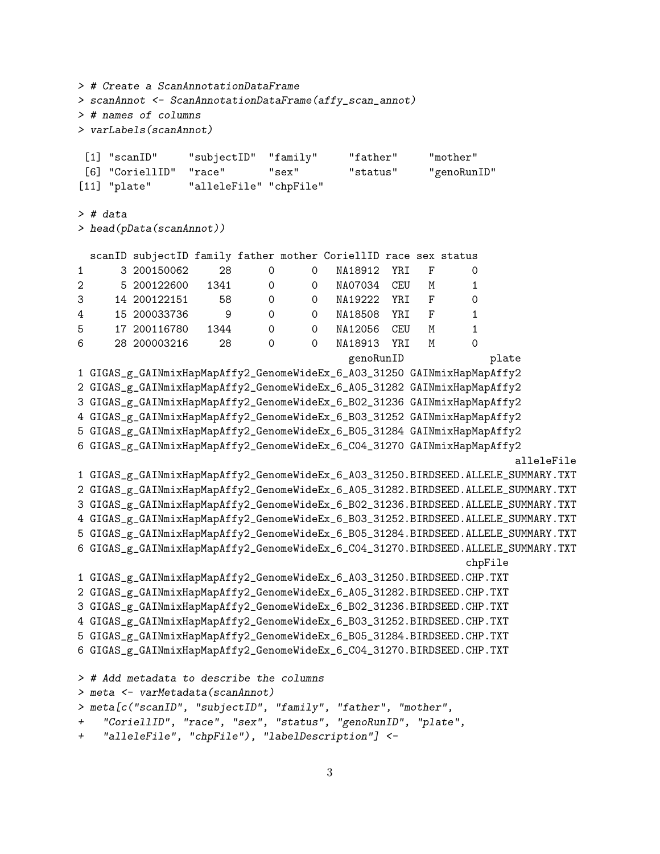```
> # Create a ScanAnnotationDataFrame
> scanAnnot <- ScanAnnotationDataFrame(affy_scan_annot)
> # names of columns
> varLabels(scanAnnot)
[1] "scanID" "subjectID" "family" "father" "mother"
[6] "CoriellID" "race" "sex" "status" "genoRunID"
[11] "plate" "alleleFile" "chpFile"
> # data
> head(pData(scanAnnot))
 scanID subjectID family father mother CoriellID race sex status
1 3 200150062 28 0 0 NA18912 YRI F 0
2 5 200122600 1341 0 0 NA07034 CEU M 1
3 14 200122151 58 0 0 NA19222 YRI F 0
4 15 200033736 9 0 0 NA18508 YRI F 1
5 17 200116780 1344 0 0 NA12056 CEU M 1
6 28 200003216 28 0 0 NA18913 YRI M 0
                                        genoRunID plate
1 GIGAS_g_GAINmixHapMapAffy2_GenomeWideEx_6_A03_31250 GAINmixHapMapAffy2
2 GIGAS_g_GAINmixHapMapAffy2_GenomeWideEx_6_A05_31282 GAINmixHapMapAffy2
3 GIGAS_g_GAINmixHapMapAffy2_GenomeWideEx_6_B02_31236 GAINmixHapMapAffy2
4 GIGAS_g_GAINmixHapMapAffy2_GenomeWideEx_6_B03_31252 GAINmixHapMapAffy2
5 GIGAS_g_GAINmixHapMapAffy2_GenomeWideEx_6_B05_31284 GAINmixHapMapAffy2
6 GIGAS_g_GAINmixHapMapAffy2_GenomeWideEx_6_C04_31270 GAINmixHapMapAffy2
                                                                 alleleFile
1 GIGAS_g_GAINmixHapMapAffy2_GenomeWideEx_6_A03_31250.BIRDSEED.ALLELE_SUMMARY.TXT
2 GIGAS_g_GAINmixHapMapAffy2_GenomeWideEx_6_A05_31282.BIRDSEED.ALLELE_SUMMARY.TXT
3 GIGAS_g_GAINmixHapMapAffy2_GenomeWideEx_6_B02_31236.BIRDSEED.ALLELE_SUMMARY.TXT
4 GIGAS_g_GAINmixHapMapAffy2_GenomeWideEx_6_B03_31252.BIRDSEED.ALLELE_SUMMARY.TXT
5 GIGAS_g_GAINmixHapMapAffy2_GenomeWideEx_6_B05_31284.BIRDSEED.ALLELE_SUMMARY.TXT
6 GIGAS_g_GAINmixHapMapAffy2_GenomeWideEx_6_C04_31270.BIRDSEED.ALLELE_SUMMARY.TXT
                                                          chpFile
1 GIGAS_g_GAINmixHapMapAffy2_GenomeWideEx_6_A03_31250.BIRDSEED.CHP.TXT
2 GIGAS_g_GAINmixHapMapAffy2_GenomeWideEx_6_A05_31282.BIRDSEED.CHP.TXT
3 GIGAS_g_GAINmixHapMapAffy2_GenomeWideEx_6_B02_31236.BIRDSEED.CHP.TXT
4 GIGAS_g_GAINmixHapMapAffy2_GenomeWideEx_6_B03_31252.BIRDSEED.CHP.TXT
5 GIGAS_g_GAINmixHapMapAffy2_GenomeWideEx_6_B05_31284.BIRDSEED.CHP.TXT
6 GIGAS_g_GAINmixHapMapAffy2_GenomeWideEx_6_C04_31270.BIRDSEED.CHP.TXT
> # Add metadata to describe the columns
> meta <- varMetadata(scanAnnot)
> meta[c("scanID", "subjectID", "family", "father", "mother",
   + "CoriellID", "race", "sex", "status", "genoRunID", "plate",
+ "alleleFile", "chpFile"), "labelDescription"] <-
```

```
3
```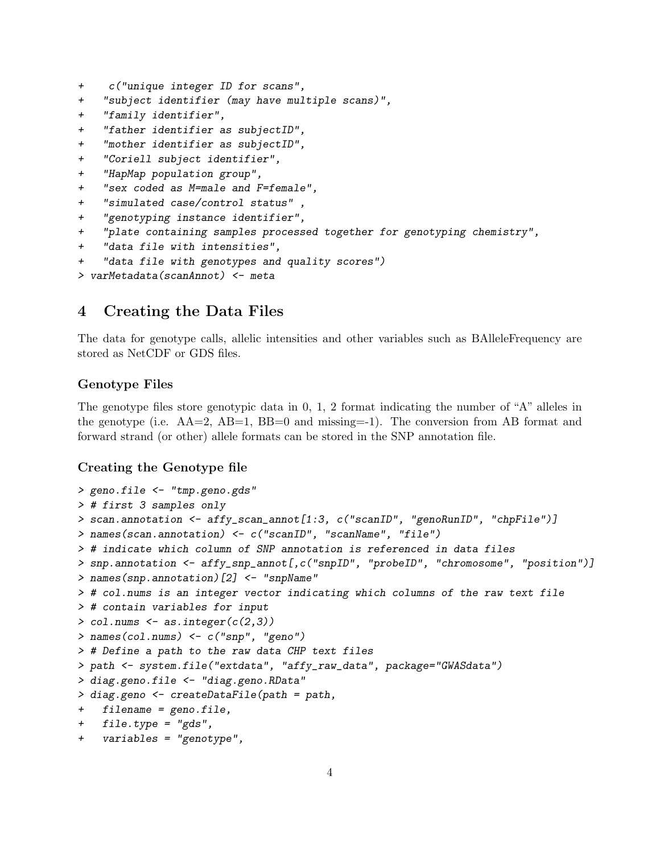- + c("unique integer ID for scans",
- + "subject identifier (may have multiple scans)",
- + "family identifier",
- + "father identifier as subjectID",
- + "mother identifier as subjectID",
- + "Coriell subject identifier",
- + "HapMap population group",
- + "sex coded as M=male and F=female",
- + "simulated case/control status" ,
- + "genotyping instance identifier",
- + "plate containing samples processed together for genotyping chemistry",
- + "data file with intensities",
- + "data file with genotypes and quality scores")
- > varMetadata(scanAnnot) <- meta

### 4 Creating the Data Files

The data for genotype calls, allelic intensities and other variables such as BAlleleFrequency are stored as NetCDF or GDS files.

#### Genotype Files

The genotype files store genotypic data in 0, 1, 2 format indicating the number of "A" alleles in the genotype (i.e.  $AA=2$ ,  $AB=1$ ,  $BB=0$  and missing=-1). The conversion from AB format and forward strand (or other) allele formats can be stored in the SNP annotation file.

#### Creating the Genotype file

```
> geno.file <- "tmp.geno.gds"
> # first 3 samples only
> scan.annotation <- affy_scan_annot[1:3, c("scanID", "genoRunID", "chpFile")]
> names(scan.annotation) <- c("scanID", "scanName", "file")
> # indicate which column of SNP annotation is referenced in data files
> snp.annotation <- affy_snp_annot[,c("snpID", "probeID", "chromosome", "position")]
> names(snp.annotation)[2] <- "snpName"
> # col.nums is an integer vector indicating which columns of the raw text file
> # contain variables for input
> col.nums \leq as.integer(c(2,3))
> names(col.nums) <- c("snp", "geno")
> # Define a path to the raw data CHP text files
> path <- system.file("extdata", "affy_raw_data", package="GWASdata")
> diag.geno.file <- "diag.geno.RData"
> diag.geno <- createDataFile(path = path,
+ filename = geno.file,
+ file.type = "gds",
+ variables = "genotype",
```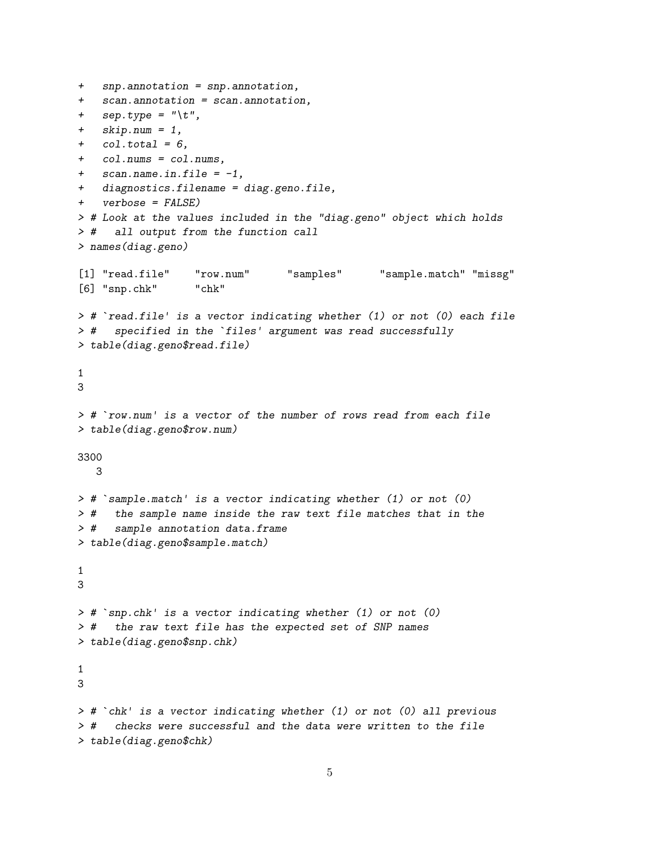```
+ snp.annotation = snp.annotation,
+ scan.annotation = scan.annotation,
+ sep.type = "\iota+ skip.num = 1,
+ col.total = 6,
+ col.nums = col.nums,
+ scan.name.in.file = -1,
+ diagnostics.filename = diag.geno.file,
+ verbose = FALSE)
> # Look at the values included in the "diag.geno" object which holds
> # all output from the function call
> names(diag.geno)
[1] "read.file" "row.num" "samples" "sample.match" "missg"
[6] "snp.chk" "chk"
> # `read.file' is a vector indicating whether (1) or not (0) each file
> # `read.file' is a vector indicating whether (1) or not (0)<br>> # specified in the `files' argument was read successfully
> table(diag.geno$read.file)
1
3
> # `row.num' is a vector of the number of rows read from each file
> table(diag.geno$row.num)
3300
  3
> # `sample.match' is a vector indicating whether (1) or not (0)
> # the sample name inside the raw text file matches that in the
> # sample annotation data.frame
> table(diag.geno$sample.match)
1
3
> # `snp.chk' is a vector indicating whether (1) or not (0)
> # the raw text file has the expected set of SNP names
> table(diag.geno$snp.chk)
1
3
> # `chk' is a vector indicating whether (1) or not (0) all previous
> # checks were successful and the data were written to the file
> table(diag.geno$chk)
```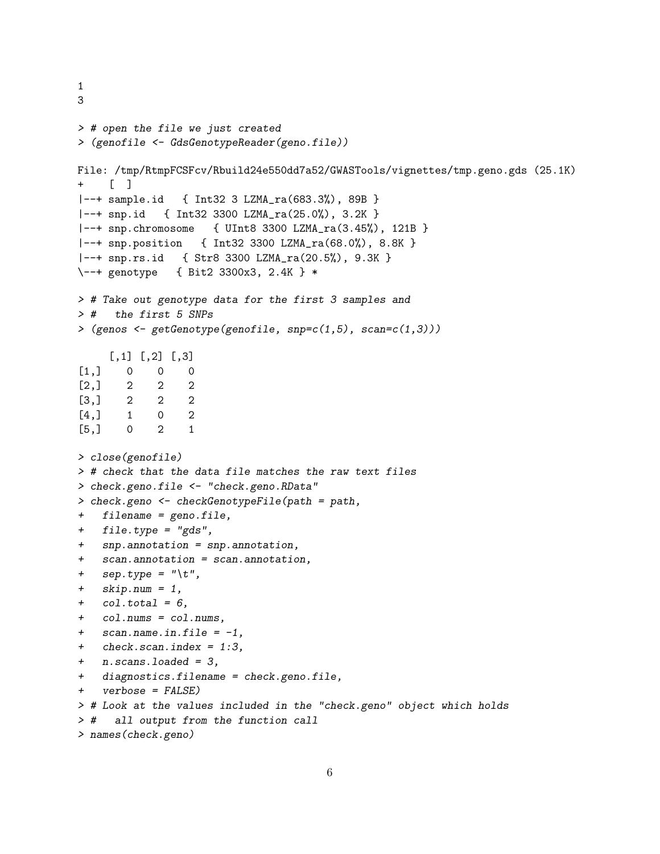```
3
> # open the file we just created
> (genofile <- GdsGenotypeReader(geno.file))
File: /tmp/RtmpFCSFcv/Rbuild24e550dd7a52/GWASTools/vignettes/tmp.geno.gds (25.1K)
+ [ ]
|--+ sample.id { Int32 3 LZMA_ra(683.3%), 89B }
|--+ snp.id { Int32 3300 LZMA_ra(25.0%), 3.2K }
|--+ snp.chromosome { UInt8 3300 LZMA_ra(3.45%), 121B }
|--+ snp.position { Int32 3300 LZMA_ra(68.0%), 8.8K }
|--+ snp.rs.id { Str8 3300 LZMA_ra(20.5%), 9.3K }
\--+ genotype { Bit2 3300x3, 2.4K } *
> # Take out genotype data for the first 3 samples and
> # the first 5 SNPs
> (genos \leftarrow getGenotype(genofile, snp=c(1,5), scan=c(1,3)))
     [,1] [,2] [,3][1,] 0 0 0[2,] 2 2 2[3,] 2 2 2[4,] 1 0 2
[5,] 0 2 1
> close(genofile)
> # check that the data file matches the raw text files
> check.geno.file <- "check.geno.RData"
> check.geno <- checkGenotypeFile(path = path,
+ filename = geno.file,
+ file.type = "gds",
+ snp.annotation = snp.annotation,
+ scan.annotation = scan.annotation,
+ sep.type = "\iota+ skip.num = 1,
+ col.total = 6,
+ col.nums = col.nums,
+ scan.name.in.file = -1,
+ check.scan.index = 1:3,
+ n.scans.loaded = 3,
+ diagnostics.filename = check.geno.file,
+ verbose = FALSE)
> # Look at the values included in the "check.geno" object which holds
> # all output from the function call
> names(check.geno)
```
1

```
6
```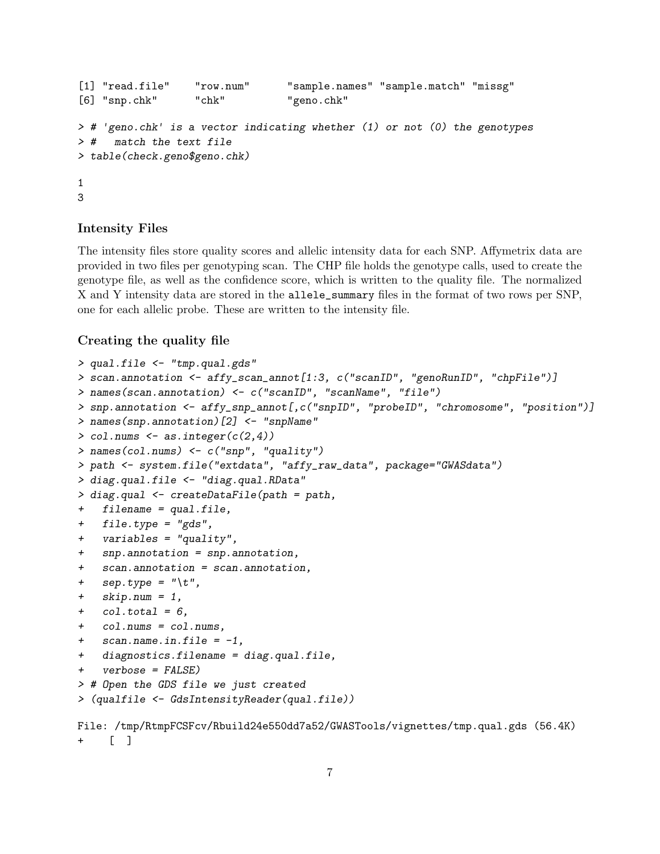```
[1] "read.file" "row.num" "sample.names" "sample.match" "missg"
[6] "snp.chk" "chk" "geno.chk"
> # 'geno.chk' is a vector indicating whether (1) or not (0) the genotypes
> # match the text file
> table(check.geno$geno.chk)
1
3
```
#### Intensity Files

The intensity files store quality scores and allelic intensity data for each SNP. Affymetrix data are provided in two files per genotyping scan. The CHP file holds the genotype calls, used to create the genotype file, as well as the confidence score, which is written to the quality file. The normalized X and Y intensity data are stored in the allele\_summary files in the format of two rows per SNP, one for each allelic probe. These are written to the intensity file.

#### Creating the quality file

```
> qual.file <- "tmp.qual.gds"
> scan.annotation <- affy_scan_annot[1:3, c("scanID", "genoRunID", "chpFile")]
> names(scan.annotation) <- c("scanID", "scanName", "file")
> snp.annotation <- affy_snp_annot[,c("snpID", "probeID", "chromosome", "position")]
> names(snp.annotation)[2] <- "snpName"
> col.nums <- as.integer(c(2,4))> names(col.nums) <- c("snp", "quality")
> path <- system.file("extdata", "affy_raw_data", package="GWASdata")
> diag.qual.file <- "diag.qual.RData"
> diag.qual <- createDataFile(path = path,
+ filename = qual.file,
+ file.type = "gds",
+ variables = "quality",
+ snp.annotation = snp.annotation,
+ scan.annotation = scan.annotation,
+ sep.type = "\iota+ skip.num = 1,
+ col.total = 6,
+ col.nums = col.nums,
+ scan.name.in.file = -1,
+ diagnostics.filename = diag.qual.file,
+ verbose = FALSE)
> # Open the GDS file we just created
> (qualfile <- GdsIntensityReader(qual.file))
File: /tmp/RtmpFCSFcv/Rbuild24e550dd7a52/GWASTools/vignettes/tmp.qual.gds (56.4K)
     \lceil \rceil
```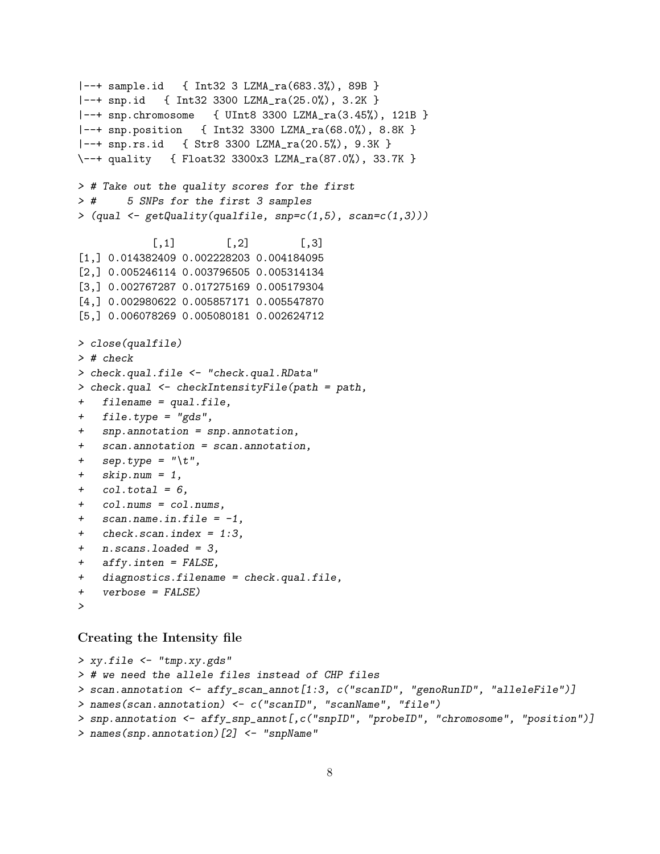```
|--+ sample.id { Int32 3 LZMA_ra(683.3%), 89B }
|--+ snp.id { Int32 3300 LZMA_ra(25.0%), 3.2K }
|--+ snp.chromosome { UInt8 3300 LZMA_ra(3.45%), 121B }
|--+ snp.position { Int32 3300 LZMA_ra(68.0%), 8.8K }
|--+ snp.rs.id { Str8 3300 LZMA_ra(20.5%), 9.3K }
\--+ quality { Float32 3300x3 LZMA_ra(87.0%), 33.7K }
> # Take out the quality scores for the first
> # 5 SNPs for the first 3 samples
> (\text{qual} < - \text{getQuality}(\text{qualfile}, \text{snp=c}(1,5), \text{scan=c}(1,3)))[,1] [,2] [,3]
[1,] 0.014382409 0.002228203 0.004184095
[2,] 0.005246114 0.003796505 0.005314134
[3,] 0.002767287 0.017275169 0.005179304
[4,] 0.002980622 0.005857171 0.005547870
[5,] 0.006078269 0.005080181 0.002624712
> close(qualfile)
> # check
> check.qual.file <- "check.qual.RData"
> check.qual <- checkIntensityFile(path = path,
+ filename = qual.file,
+ file.type = "gds",
+ snp.annotation = snp.annotation,
+ scan.annotation = scan.annotation,
+ sep.type = "\iota+ skip.num = 1,
+ col.total = 6,
+ col.nums = col.nums,
+ scan.name.in.file = -1,
+ check.scan.index = 1:3,
+ n.scans.loaded = 3,
+ affy.inten = FALSE,
+ diagnostics.filename = check.qual.file,
+ verbose = FALSE)
>
```
Creating the Intensity file

```
> xy.file <- "tmp.xy.gds"
> # we need the allele files instead of CHP files
> scan.annotation <- affy_scan_annot[1:3, c("scanID", "genoRunID", "alleleFile")]
> names(scan.annotation) <- c("scanID", "scanName", "file")
> snp.annotation <- affy_snp_annot[,c("snpID", "probeID", "chromosome", "position")]
> names(snp.annotation)[2] <- "snpName"
```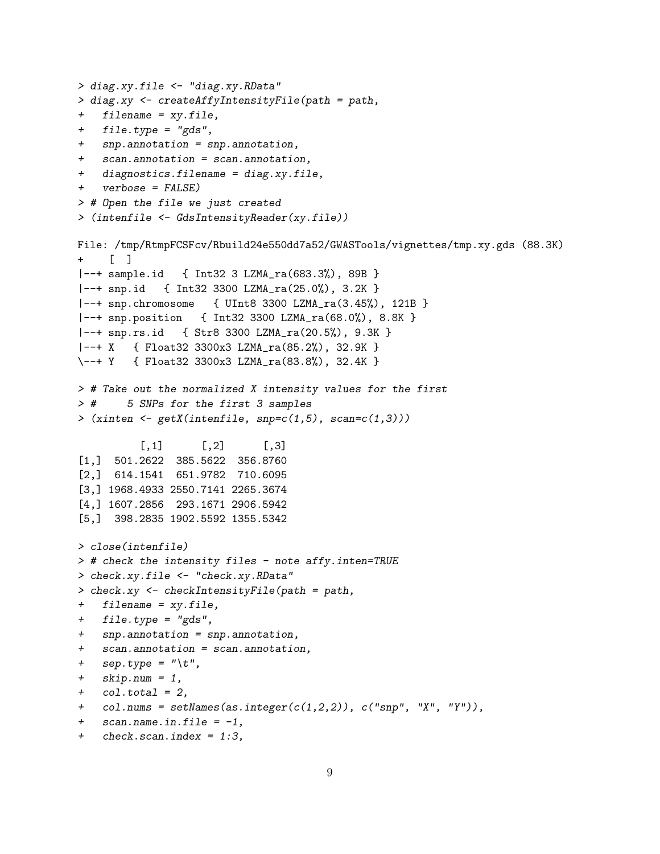```
> diag.xy.file <- "diag.xy.RData"
> diag.xy <- createAffyIntensityFile(path = path,
+ filename = xy.file,
+ file.type = "gds",
+ snp.annotation = snp.annotation,
+ scan.annotation = scan.annotation,
+ diagnostics.filename = diag.xy.file,
+ verbose = FALSE)
> # Open the file we just created
> (intenfile <- GdsIntensityReader(xy.file))
File: /tmp/RtmpFCSFcv/Rbuild24e550dd7a52/GWASTools/vignettes/tmp.xy.gds (88.3K)
+ [ ]
|--+ sample.id { Int32 3 LZMA_ra(683.3%), 89B }
|--+ snp.id { Int32 3300 LZMA_ra(25.0%), 3.2K }
|--+ snp.chromosome { UInt8 3300 LZMA_ra(3.45%), 121B }
|--+ snp.position { Int32 3300 LZMA_ra(68.0%), 8.8K }
|--+ snp.rs.id { Str8 3300 LZMA_ra(20.5%), 9.3K }
|--+ X { Float32 3300x3 LZMA_ra(85.2%), 32.9K }
\--+ Y { Float32 3300x3 LZMA_ra(83.8%), 32.4K }
> # Take out the normalized X intensity values for the first
> # 5 SNPs for the first 3 samples
> (xinten \le getX(intenfile, snp=c(1,5), scan=c(1,3)))
          [0,1] [0,2] [0,3][1,] 501.2622 385.5622 356.8760
[2,] 614.1541 651.9782 710.6095
[3,] 1968.4933 2550.7141 2265.3674
[4,] 1607.2856 293.1671 2906.5942
[5,] 398.2835 1902.5592 1355.5342
> close(intenfile)
> # check the intensity files - note affy.inten=TRUE
> check.xy.file <- "check.xy.RData"
> check.xy <- checkIntensityFile(path = path,
+ filename = xy.file,
+ file.type = "gds",
+ snp.annotation = snp.annotation,
+ scan.annotation = scan.annotation,
+ sep.type = "\iota.
+ skip.num = 1,
+ col.total = 2,
+ col.nums = setNames(as.integer(c(1,2,2)), c("snp", "X", "Y")),
+ scan.name.in.file = -1,
```

```
+ check.scan.index = 1:3,
```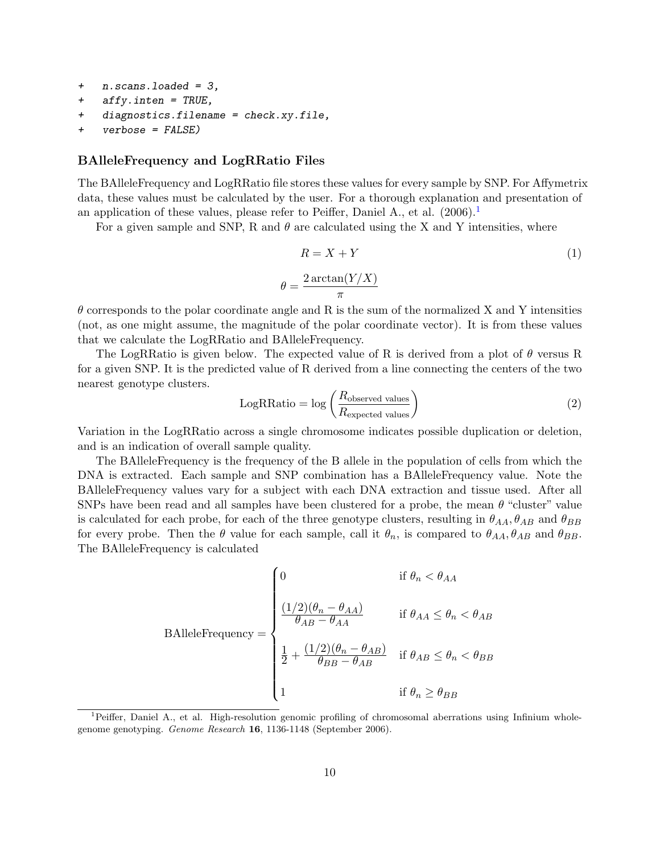- + n.scans.loaded = 3,
- + affy.inten = TRUE,
- + diagnostics.filename = check.xy.file,
- + verbose = FALSE)

#### BAlleleFrequency and LogRRatio Files

The BAlleleFrequency and LogRRatio file stores these values for every sample by SNP. For Affymetrix data, these values must be calculated by the user. For a thorough explanation and presentation of an application of these values, please refer to Peiffer, Daniel A., et al.  $(2006).$ <sup>[1](#page-9-0)</sup>

For a given sample and SNP, R and  $\theta$  are calculated using the X and Y intensities, where

$$
R = X + Y \tag{1}
$$
\n
$$
= \frac{2 \arctan(Y/X)}{\pi}
$$

 $\theta$  corresponds to the polar coordinate angle and R is the sum of the normalized X and Y intensities (not, as one might assume, the magnitude of the polar coordinate vector). It is from these values that we calculate the LogRRatio and BAlleleFrequency.

 $\theta$ 

The LogRRatio is given below. The expected value of R is derived from a plot of  $\theta$  versus R for a given SNP. It is the predicted value of R derived from a line connecting the centers of the two nearest genotype clusters.

$$
LogRRatio = log\left(\frac{R_{observed values}}{R_{expected values}}\right)
$$
 (2)

Variation in the LogRRatio across a single chromosome indicates possible duplication or deletion, and is an indication of overall sample quality.

The BAlleleFrequency is the frequency of the B allele in the population of cells from which the DNA is extracted. Each sample and SNP combination has a BAlleleFrequency value. Note the BAlleleFrequency values vary for a subject with each DNA extraction and tissue used. After all SNPs have been read and all samples have been clustered for a probe, the mean  $\theta$  "cluster" value is calculated for each probe, for each of the three genotype clusters, resulting in  $\theta_{AA}, \theta_{AB}$  and  $\theta_{BB}$ for every probe. Then the  $\theta$  value for each sample, call it  $\theta_n$ , is compared to  $\theta_{AA}$ ,  $\theta_{AB}$  and  $\theta_{BB}$ . The BAlleleFrequency is calculated

$$
\text{BAlleleFrequency} = \begin{cases} 0 & \text{if } \theta_n < \theta_{AA} \\ \frac{(1/2)(\theta_n - \theta_{AA})}{\theta_{AB} - \theta_{AA}} & \text{if } \theta_{AA} \le \theta_n < \theta_{AB} \\ \frac{1}{2} + \frac{(1/2)(\theta_n - \theta_{AB})}{\theta_{BB} - \theta_{AB}} & \text{if } \theta_{AB} \le \theta_n < \theta_{BB} \\ 1 & \text{if } \theta_n \ge \theta_{BB} \end{cases}
$$

<span id="page-9-0"></span><sup>&</sup>lt;sup>1</sup>Peiffer, Daniel A., et al. High-resolution genomic profiling of chromosomal aberrations using Infinium wholegenome genotyping. Genome Research 16, 1136-1148 (September 2006).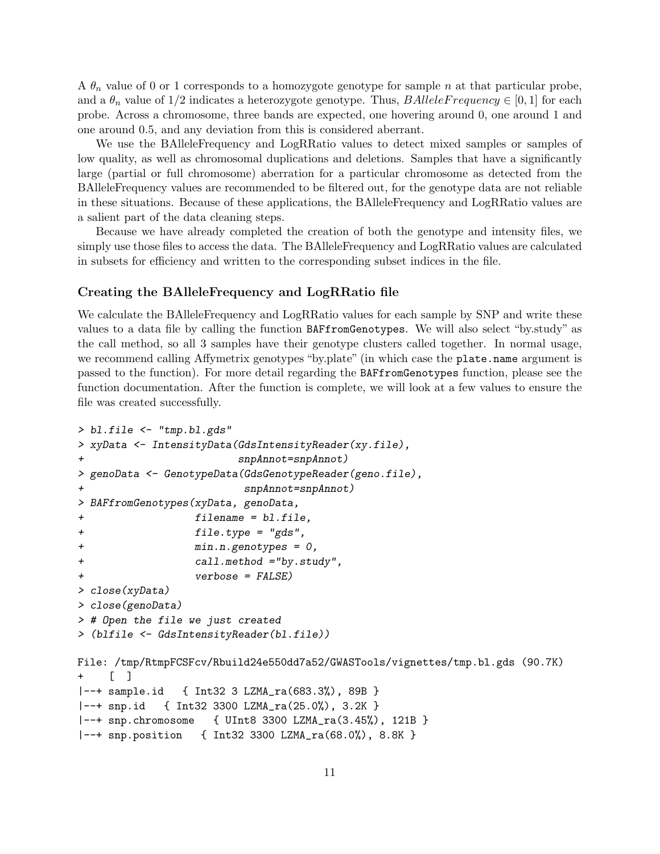A  $\theta_n$  value of 0 or 1 corresponds to a homozygote genotype for sample n at that particular probe, and a  $\theta_n$  value of 1/2 indicates a heterozygote genotype. Thus, BAlleleFrequency  $\in [0,1]$  for each probe. Across a chromosome, three bands are expected, one hovering around 0, one around 1 and one around 0.5, and any deviation from this is considered aberrant.

We use the BAlleleFrequency and LogRRatio values to detect mixed samples or samples of low quality, as well as chromosomal duplications and deletions. Samples that have a significantly large (partial or full chromosome) aberration for a particular chromosome as detected from the BAlleleFrequency values are recommended to be filtered out, for the genotype data are not reliable in these situations. Because of these applications, the BAlleleFrequency and LogRRatio values are a salient part of the data cleaning steps.

Because we have already completed the creation of both the genotype and intensity files, we simply use those files to access the data. The BAlleleFrequency and LogRRatio values are calculated in subsets for efficiency and written to the corresponding subset indices in the file.

#### Creating the BAlleleFrequency and LogRRatio file

We calculate the BAlleleFrequency and LogRRatio values for each sample by SNP and write these values to a data file by calling the function BAFfromGenotypes. We will also select "by.study" as the call method, so all 3 samples have their genotype clusters called together. In normal usage, we recommend calling Affymetrix genotypes "by.plate" (in which case the plate.name argument is passed to the function). For more detail regarding the BAFfromGenotypes function, please see the function documentation. After the function is complete, we will look at a few values to ensure the file was created successfully.

```
> bl.file <- "tmp.bl.gds"
> xyData <- IntensityData(GdsIntensityReader(xy.file),
+ snpAnnot=snpAnnot)
> genoData <- GenotypeData(GdsGenotypeReader(geno.file),
+ snpAnnot=snpAnnot)
> BAFfromGenotypes(xyData, genoData,
+ filename = bl.file,
+ file.type = "gds",
+ min.n.genotypes = 0,
+ call.method ="by.study",
+ verbose = FALSE)
> close(xyData)
> close(genoData)
> # Open the file we just created
> (blfile <- GdsIntensityReader(bl.file))
File: /tmp/RtmpFCSFcv/Rbuild24e550dd7a52/GWASTools/vignettes/tmp.bl.gds (90.7K)
    [-]|--+ sample.id { Int32 3 LZMA_ra(683.3%), 89B }
|--+ snp.id { Int32 3300 LZMA_ra(25.0%), 3.2K }
|--+ snp.chromosome { UInt8 3300 LZMA_ra(3.45%), 121B }
|--+ snp.position { Int32 3300 LZMA_ra(68.0%), 8.8K }
```